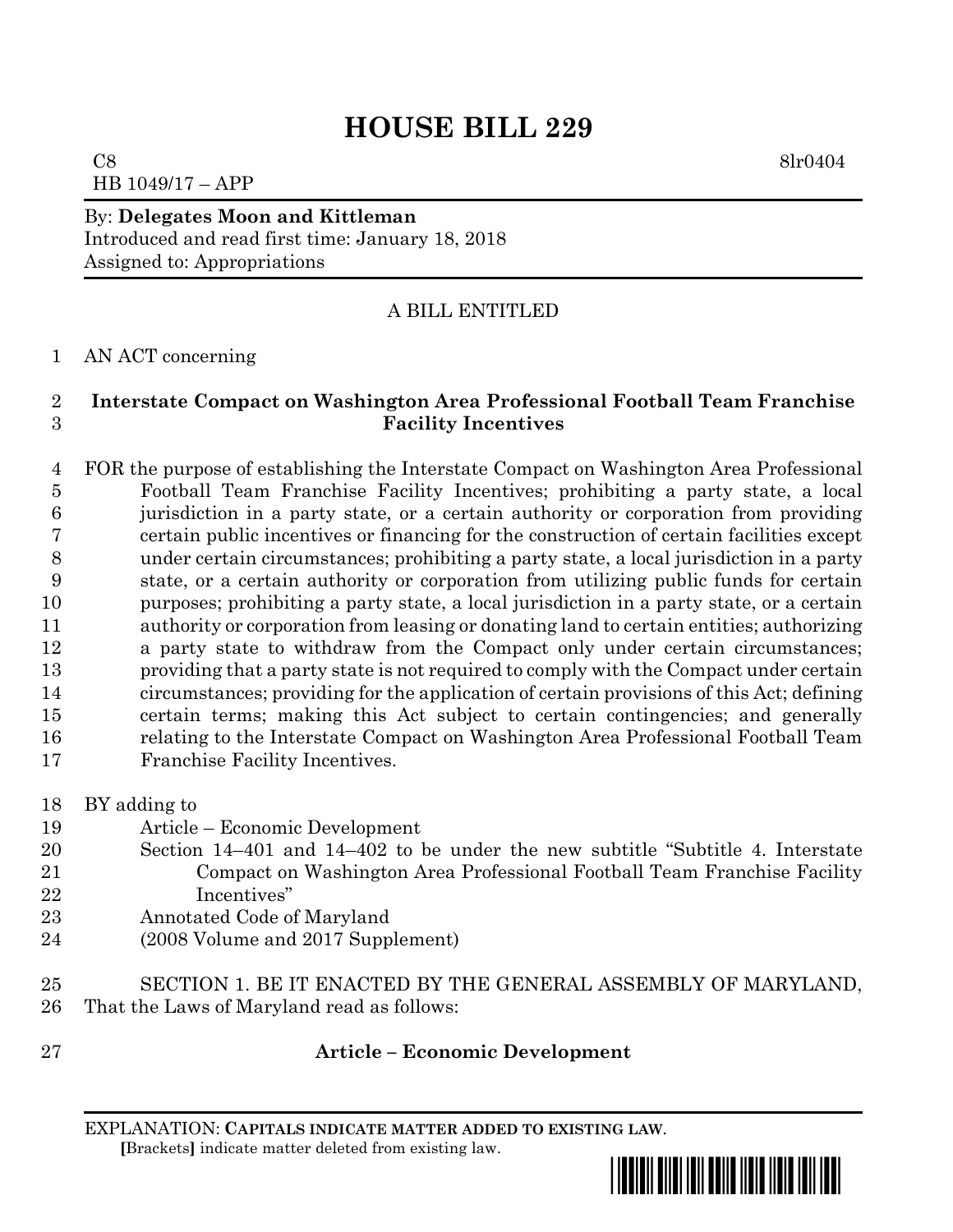# **HOUSE BILL 229**

 $C8$  8lr0404 HB 1049/17 – APP

## By: **Delegates Moon and Kittleman** Introduced and read first time: January 18, 2018 Assigned to: Appropriations

## A BILL ENTITLED

#### AN ACT concerning

#### **Interstate Compact on Washington Area Professional Football Team Franchise Facility Incentives**

 FOR the purpose of establishing the Interstate Compact on Washington Area Professional Football Team Franchise Facility Incentives; prohibiting a party state, a local jurisdiction in a party state, or a certain authority or corporation from providing certain public incentives or financing for the construction of certain facilities except under certain circumstances; prohibiting a party state, a local jurisdiction in a party state, or a certain authority or corporation from utilizing public funds for certain purposes; prohibiting a party state, a local jurisdiction in a party state, or a certain authority or corporation from leasing or donating land to certain entities; authorizing a party state to withdraw from the Compact only under certain circumstances; providing that a party state is not required to comply with the Compact under certain circumstances; providing for the application of certain provisions of this Act; defining certain terms; making this Act subject to certain contingencies; and generally relating to the Interstate Compact on Washington Area Professional Football Team Franchise Facility Incentives.

- BY adding to
- Article Economic Development
- Section 14–401 and 14–402 to be under the new subtitle "Subtitle 4. Interstate Compact on Washington Area Professional Football Team Franchise Facility Incentives"
- Annotated Code of Maryland
- (2008 Volume and 2017 Supplement)
- SECTION 1. BE IT ENACTED BY THE GENERAL ASSEMBLY OF MARYLAND, That the Laws of Maryland read as follows:
- 

### **Article – Economic Development**

EXPLANATION: **CAPITALS INDICATE MATTER ADDED TO EXISTING LAW**.  **[**Brackets**]** indicate matter deleted from existing law.

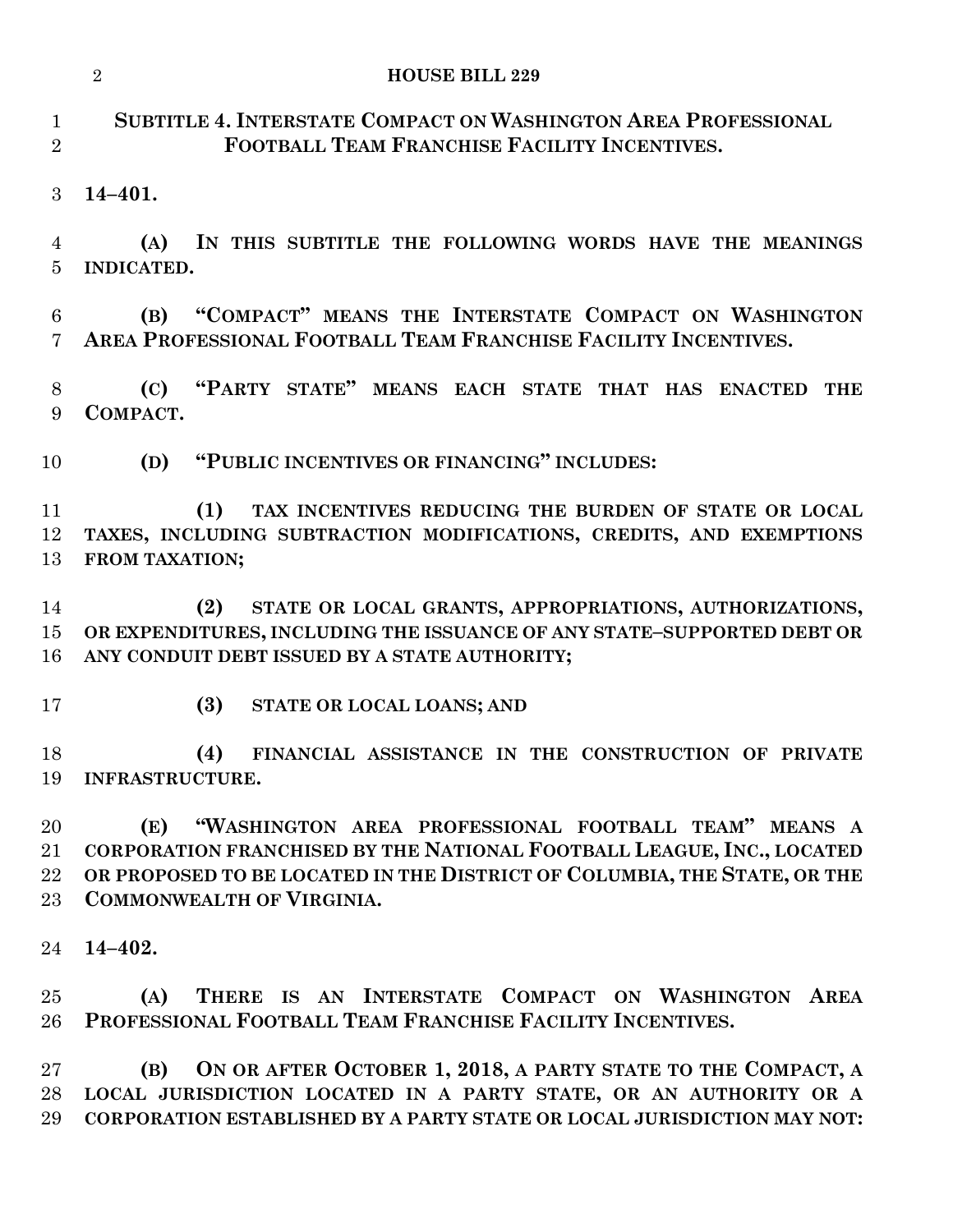|                                | $\overline{2}$<br><b>HOUSE BILL 229</b>                                                                                                                                                                                                           |
|--------------------------------|---------------------------------------------------------------------------------------------------------------------------------------------------------------------------------------------------------------------------------------------------|
| $\mathbf{1}$<br>$\overline{2}$ | SUBTITLE 4. INTERSTATE COMPACT ON WASHINGTON AREA PROFESSIONAL<br>FOOTBALL TEAM FRANCHISE FACILITY INCENTIVES.                                                                                                                                    |
| 3                              | $14 - 401.$                                                                                                                                                                                                                                       |
| 4<br>5                         | (A)<br>IN THIS SUBTITLE THE FOLLOWING WORDS HAVE THE MEANINGS<br>INDICATED.                                                                                                                                                                       |
| 6<br>7                         | "COMPACT" MEANS THE INTERSTATE COMPACT ON WASHINGTON<br>(B)<br>AREA PROFESSIONAL FOOTBALL TEAM FRANCHISE FACILITY INCENTIVES.                                                                                                                     |
| 8<br>9                         | "PARTY STATE" MEANS EACH STATE THAT HAS ENACTED<br>(C)<br><b>THE</b><br>COMPACT.                                                                                                                                                                  |
| 10                             | "PUBLIC INCENTIVES OR FINANCING" INCLUDES:<br>(D)                                                                                                                                                                                                 |
| 11<br>12<br>13                 | (1)<br>TAX INCENTIVES REDUCING THE BURDEN OF STATE OR LOCAL<br>TAXES, INCLUDING SUBTRACTION MODIFICATIONS, CREDITS, AND EXEMPTIONS<br>FROM TAXATION;                                                                                              |
| 14<br>15<br>16                 | STATE OR LOCAL GRANTS, APPROPRIATIONS, AUTHORIZATIONS,<br>(2)<br>OR EXPENDITURES, INCLUDING THE ISSUANCE OF ANY STATE-SUPPORTED DEBT OR<br>ANY CONDUIT DEBT ISSUED BY A STATE AUTHORITY;                                                          |
| 17                             | (3)<br>STATE OR LOCAL LOANS; AND                                                                                                                                                                                                                  |
| 18                             | (4)<br>FINANCIAL ASSISTANCE IN THE CONSTRUCTION OF PRIVATE<br>19 INFRASTRUCTURE.                                                                                                                                                                  |
| 20<br>21<br>22<br>23           | (E) "WASHINGTON AREA PROFESSIONAL FOOTBALL TEAM" MEANS A<br>CORPORATION FRANCHISED BY THE NATIONAL FOOTBALL LEAGUE, INC., LOCATED<br>OR PROPOSED TO BE LOCATED IN THE DISTRICT OF COLUMBIA, THE STATE, OR THE<br><b>COMMONWEALTH OF VIRGINIA.</b> |
| 24                             | $14 - 402.$                                                                                                                                                                                                                                       |
| 25<br>26                       | THERE IS AN INTERSTATE COMPACT ON WASHINGTON AREA<br>(A)<br>PROFESSIONAL FOOTBALL TEAM FRANCHISE FACILITY INCENTIVES.                                                                                                                             |
| $27\,$<br>28<br>29             | ON OR AFTER OCTOBER 1, 2018, A PARTY STATE TO THE COMPACT, A<br>(B)<br>LOCAL JURISDICTION LOCATED IN A PARTY STATE, OR AN AUTHORITY OR A<br>CORPORATION ESTABLISHED BY A PARTY STATE OR LOCAL JURISDICTION MAY NOT:                               |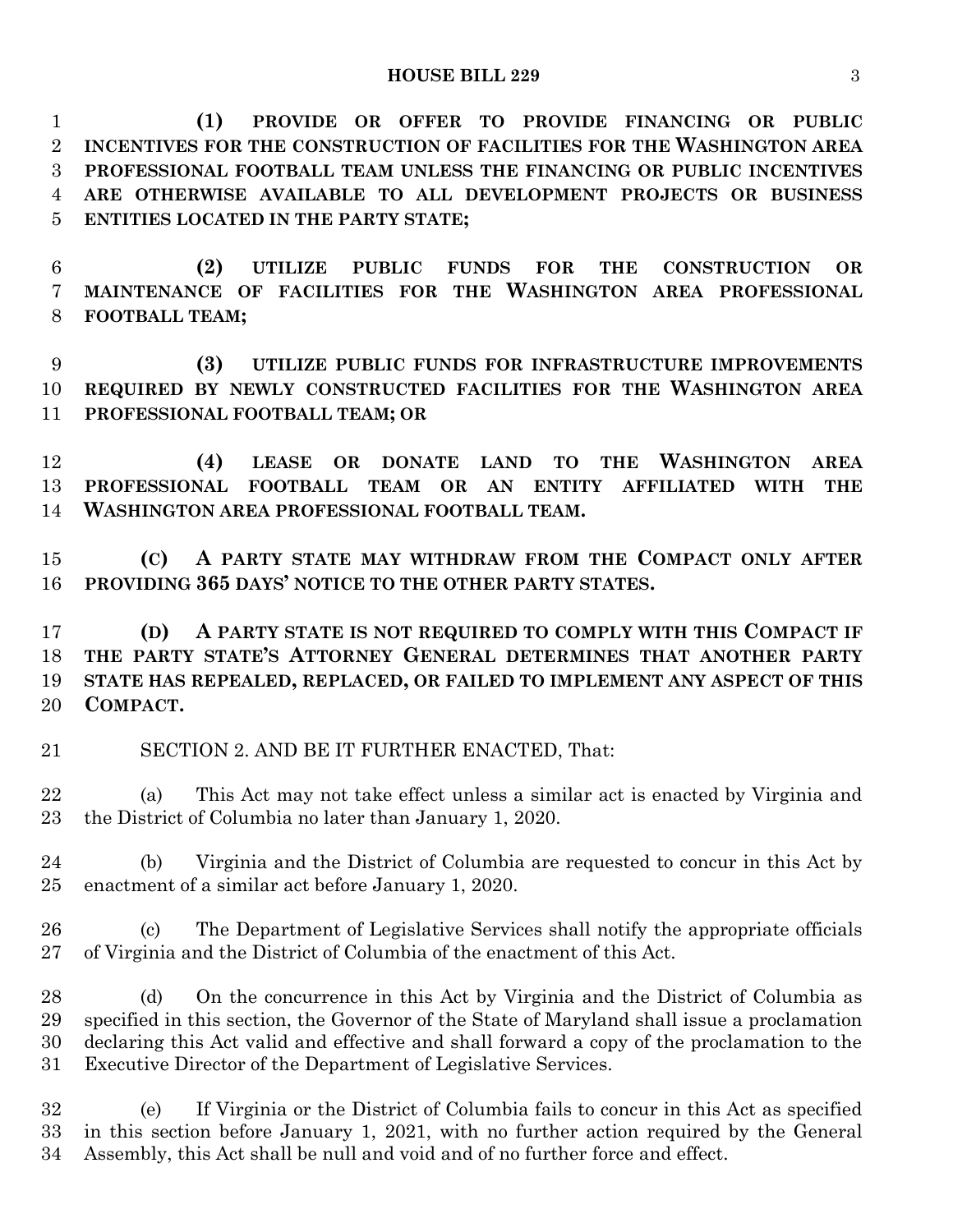**(1) PROVIDE OR OFFER TO PROVIDE FINANCING OR PUBLIC INCENTIVES FOR THE CONSTRUCTION OF FACILITIES FOR THE WASHINGTON AREA PROFESSIONAL FOOTBALL TEAM UNLESS THE FINANCING OR PUBLIC INCENTIVES ARE OTHERWISE AVAILABLE TO ALL DEVELOPMENT PROJECTS OR BUSINESS ENTITIES LOCATED IN THE PARTY STATE;**

 **(2) UTILIZE PUBLIC FUNDS FOR THE CONSTRUCTION OR MAINTENANCE OF FACILITIES FOR THE WASHINGTON AREA PROFESSIONAL FOOTBALL TEAM;**

 **(3) UTILIZE PUBLIC FUNDS FOR INFRASTRUCTURE IMPROVEMENTS REQUIRED BY NEWLY CONSTRUCTED FACILITIES FOR THE WASHINGTON AREA PROFESSIONAL FOOTBALL TEAM; OR**

 **(4) LEASE OR DONATE LAND TO THE WASHINGTON AREA PROFESSIONAL FOOTBALL TEAM OR AN ENTITY AFFILIATED WITH THE WASHINGTON AREA PROFESSIONAL FOOTBALL TEAM.**

 **(C) A PARTY STATE MAY WITHDRAW FROM THE COMPACT ONLY AFTER PROVIDING 365 DAYS' NOTICE TO THE OTHER PARTY STATES.**

 **(D) A PARTY STATE IS NOT REQUIRED TO COMPLY WITH THIS COMPACT IF THE PARTY STATE'S ATTORNEY GENERAL DETERMINES THAT ANOTHER PARTY STATE HAS REPEALED, REPLACED, OR FAILED TO IMPLEMENT ANY ASPECT OF THIS COMPACT.**

SECTION 2. AND BE IT FURTHER ENACTED, That:

 (a) This Act may not take effect unless a similar act is enacted by Virginia and the District of Columbia no later than January 1, 2020.

 (b) Virginia and the District of Columbia are requested to concur in this Act by enactment of a similar act before January 1, 2020.

 (c) The Department of Legislative Services shall notify the appropriate officials of Virginia and the District of Columbia of the enactment of this Act.

 (d) On the concurrence in this Act by Virginia and the District of Columbia as specified in this section, the Governor of the State of Maryland shall issue a proclamation declaring this Act valid and effective and shall forward a copy of the proclamation to the Executive Director of the Department of Legislative Services.

 (e) If Virginia or the District of Columbia fails to concur in this Act as specified in this section before January 1, 2021, with no further action required by the General Assembly, this Act shall be null and void and of no further force and effect.